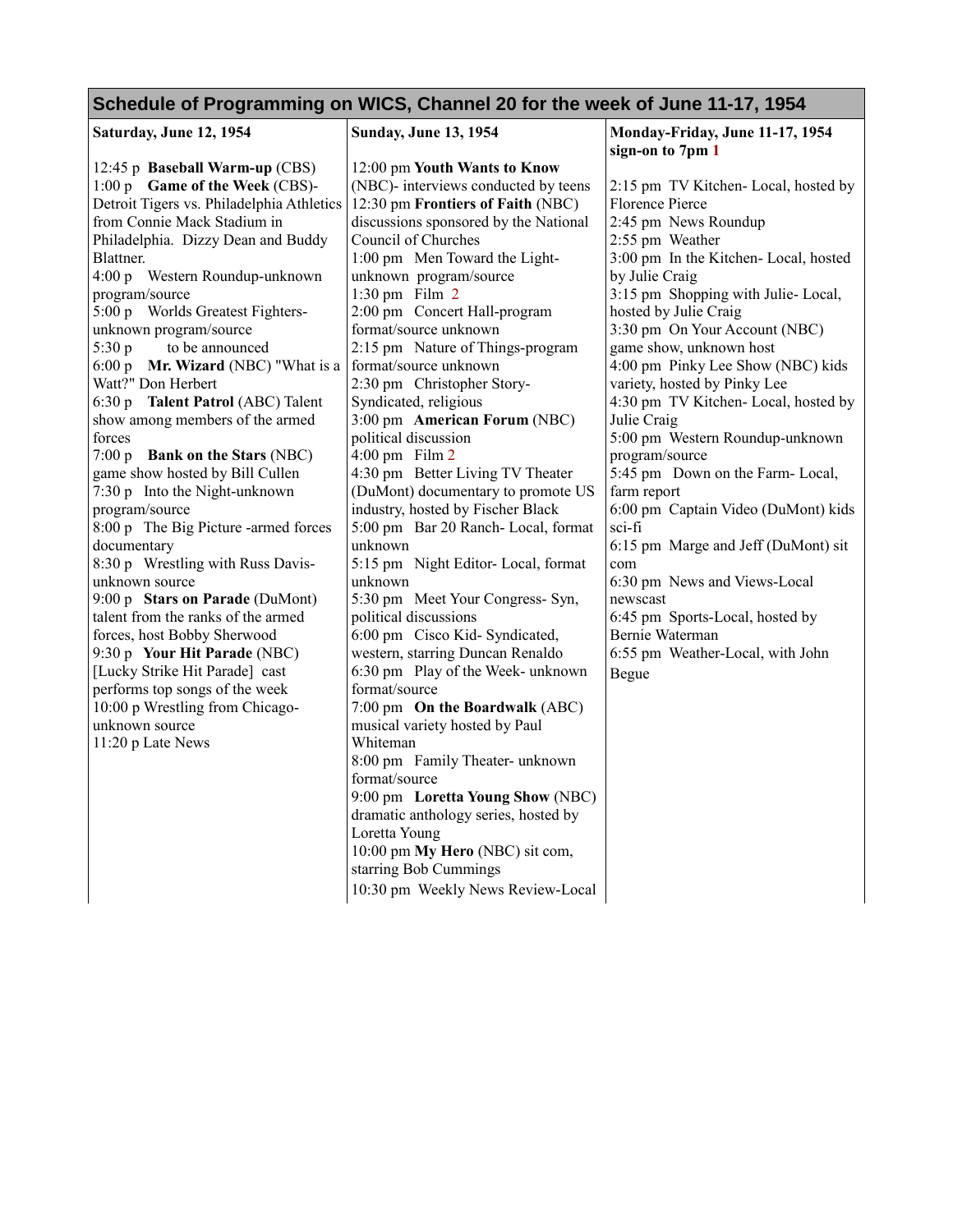## **Schedule of Programming on WICS, Channel 20 for the week of June 11-17, 1954**

| Saturday, June 12, 1954                      | <b>Sunday, June 13, 1954</b>          | Monday-Friday, June 11-17, 1954      |
|----------------------------------------------|---------------------------------------|--------------------------------------|
|                                              |                                       | sign-on to 7pm 1                     |
| 12:45 p Baseball Warm-up (CBS)               | 12:00 pm Youth Wants to Know          |                                      |
| 1:00 p Game of the Week (CBS)-               | (NBC)- interviews conducted by teens  | 2:15 pm TV Kitchen-Local, hosted by  |
| Detroit Tigers vs. Philadelphia Athletics    | 12:30 pm Frontiers of Faith (NBC)     | Florence Pierce                      |
| from Connie Mack Stadium in                  | discussions sponsored by the National | 2:45 pm News Roundup                 |
| Philadelphia. Dizzy Dean and Buddy           | Council of Churches                   | 2:55 pm Weather                      |
| Blattner.                                    | 1:00 pm Men Toward the Light-         | 3:00 pm In the Kitchen-Local, hosted |
| 4:00 p Western Roundup-unknown               | unknown program/source                | by Julie Craig                       |
| program/source                               | $1:30$ pm Film $2$                    | 3:15 pm Shopping with Julie-Local,   |
| 5:00 p Worlds Greatest Fighters-             | 2:00 pm Concert Hall-program          | hosted by Julie Craig                |
| unknown program/source                       | format/source unknown                 | 3:30 pm On Your Account (NBC)        |
| 5:30 p<br>to be announced                    | 2:15 pm Nature of Things-program      | game show, unknown host              |
| $6:00 \text{ p}$ Mr. Wizard (NBC) "What is a | format/source unknown                 | 4:00 pm Pinky Lee Show (NBC) kids    |
| Watt?" Don Herbert                           | 2:30 pm Christopher Story-            | variety, hosted by Pinky Lee         |
| 6:30 p Talent Patrol (ABC) Talent            | Syndicated, religious                 | 4:30 pm TV Kitchen-Local, hosted by  |
| show among members of the armed              | 3:00 pm American Forum (NBC)          | Julie Craig                          |
| forces                                       | political discussion                  | 5:00 pm Western Roundup-unknown      |
| 7:00 p Bank on the Stars (NBC)               | $4:00 \text{ pm}$ Film $2$            | program/source                       |
| game show hosted by Bill Cullen              | 4:30 pm Better Living TV Theater      | 5:45 pm Down on the Farm-Local,      |
| 7:30 p Into the Night-unknown                | (DuMont) documentary to promote US    | farm report                          |
| program/source                               | industry, hosted by Fischer Black     | 6:00 pm Captain Video (DuMont) kids  |
| 8:00 p The Big Picture -armed forces         | 5:00 pm Bar 20 Ranch-Local, format    | sci-fi                               |
| documentary                                  | unknown                               | 6:15 pm Marge and Jeff (DuMont) sit  |
| 8:30 p Wrestling with Russ Davis-            | 5:15 pm Night Editor-Local, format    | com                                  |
| unknown source                               | unknown                               | 6:30 pm News and Views-Local         |
| 9:00 p Stars on Parade (DuMont)              | 5:30 pm Meet Your Congress- Syn,      | newscast                             |
| talent from the ranks of the armed           | political discussions                 | 6:45 pm Sports-Local, hosted by      |
| forces, host Bobby Sherwood                  | 6:00 pm Cisco Kid- Syndicated,        | Bernie Waterman                      |
| 9:30 p Your Hit Parade (NBC)                 | western, starring Duncan Renaldo      | 6:55 pm Weather-Local, with John     |
| [Lucky Strike Hit Parade] cast               | 6:30 pm Play of the Week- unknown     | Begue                                |
| performs top songs of the week               | format/source                         |                                      |
| 10:00 p Wrestling from Chicago-              | 7:00 pm On the Boardwalk (ABC)        |                                      |
| unknown source                               | musical variety hosted by Paul        |                                      |
| 11:20 p Late News                            | Whiteman                              |                                      |
|                                              | 8:00 pm Family Theater- unknown       |                                      |
|                                              | format/source                         |                                      |
|                                              | 9:00 pm Loretta Young Show (NBC)      |                                      |
|                                              | dramatic anthology series, hosted by  |                                      |
|                                              | Loretta Young                         |                                      |
|                                              | 10:00 pm My Hero (NBC) sit com,       |                                      |
|                                              | starring Bob Cummings                 |                                      |
|                                              | 10:30 pm Weekly News Review-Local     |                                      |